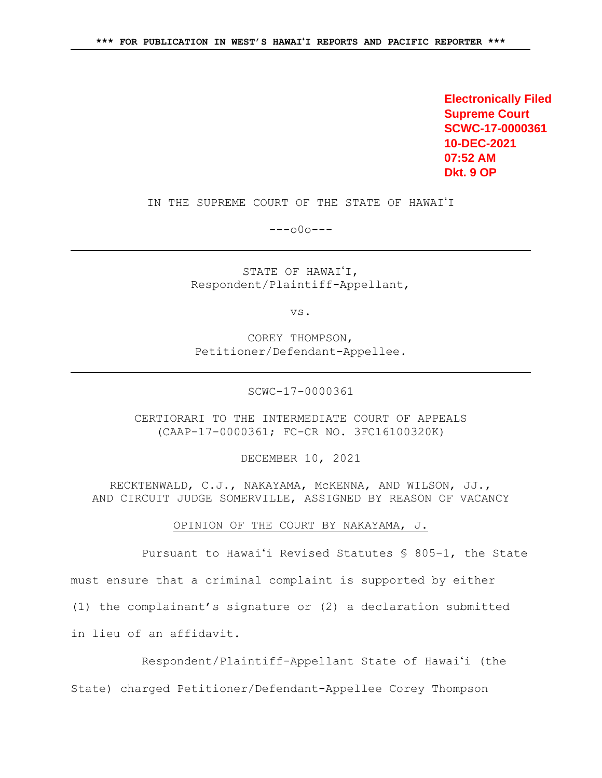**Electronically Filed Supreme Court SCWC-17-0000361 10-DEC-2021 07:52 AM Dkt. 9 OP**

IN THE SUPREME COURT OF THE STATE OF HAWAI'I

 $---000---$ 

STATE OF HAWAI'I, Respondent/Plaintiff-Appellant,

vs.

COREY THOMPSON, Petitioner/Defendant-Appellee.

SCWC-17-0000361

CERTIORARI TO THE INTERMEDIATE COURT OF APPEALS (CAAP-17-0000361; FC-CR NO. 3FC16100320K)

DECEMBER 10, 2021

RECKTENWALD, C.J., NAKAYAMA, McKENNA, AND WILSON, JJ., AND CIRCUIT JUDGE SOMERVILLE, ASSIGNED BY REASON OF VACANCY

OPINION OF THE COURT BY NAKAYAMA, J.

Pursuant to Hawaiʻi Revised Statutes § 805-1, the State must ensure that a criminal complaint is supported by either (1) the complainant's signature or (2) a declaration submitted in lieu of an affidavit.

Respondent/Plaintiff-Appellant State of Hawaiʻi (the

State) charged Petitioner/Defendant-Appellee Corey Thompson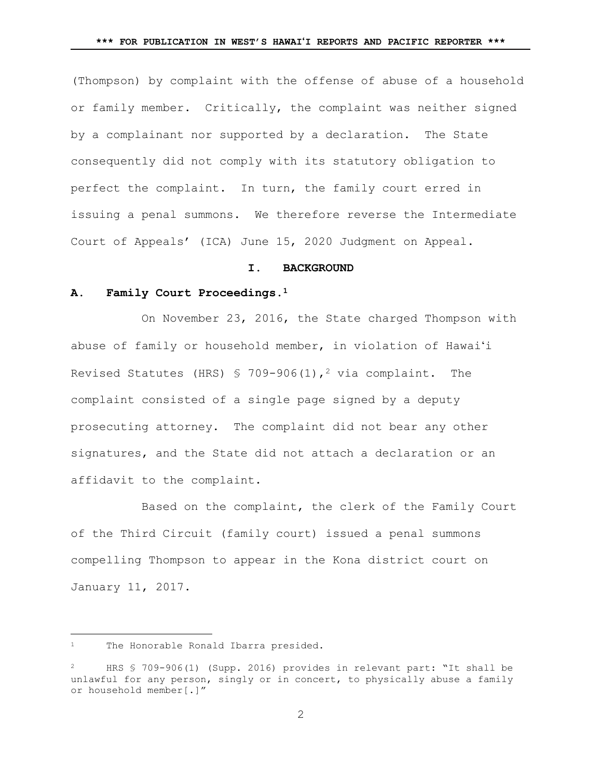(Thompson) by complaint with the offense of abuse of a household or family member. Critically, the complaint was neither signed by a complainant nor supported by a declaration. The State consequently did not comply with its statutory obligation to perfect the complaint. In turn, the family court erred in issuing a penal summons. We therefore reverse the Intermediate Court of Appeals' (ICA) June 15, 2020 Judgment on Appeal.

#### **I. BACKGROUND**

## **A. Family Court Proceedings.<sup>1</sup>**

On November 23, 2016, the State charged Thompson with abuse of family or household member, in violation of Hawaiʻi Revised Statutes (HRS) § 709-906(1),<sup>2</sup> via complaint. The complaint consisted of a single page signed by a deputy prosecuting attorney. The complaint did not bear any other signatures, and the State did not attach a declaration or an affidavit to the complaint.

Based on the complaint, the clerk of the Family Court of the Third Circuit (family court) issued a penal summons compelling Thompson to appear in the Kona district court on January 11, 2017.

<sup>&</sup>lt;sup>1</sup> The Honorable Ronald Ibarra presided.

HRS § 709-906(1) (Supp. 2016) provides in relevant part: "It shall be unlawful for any person, singly or in concert, to physically abuse a family or household member[.]"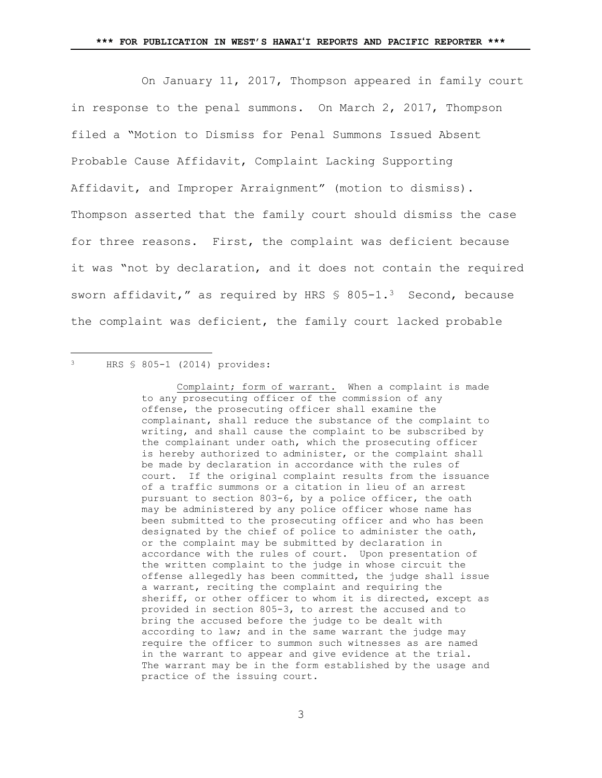On January 11, 2017, Thompson appeared in family court in response to the penal summons. On March 2, 2017, Thompson filed a "Motion to Dismiss for Penal Summons Issued Absent Probable Cause Affidavit, Complaint Lacking Supporting Affidavit, and Improper Arraignment" (motion to dismiss). Thompson asserted that the family court should dismiss the case for three reasons. First, the complaint was deficient because it was "not by declaration, and it does not contain the required sworn affidavit," as required by HRS  $$805-1.^3$  Second, because the complaint was deficient, the family court lacked probable

#### HRS § 805-1 (2014) provides:

÷.

Complaint; form of warrant. When a complaint is made to any prosecuting officer of the commission of any offense, the prosecuting officer shall examine the complainant, shall reduce the substance of the complaint to writing, and shall cause the complaint to be subscribed by the complainant under oath, which the prosecuting officer is hereby authorized to administer, or the complaint shall be made by declaration in accordance with the rules of court. If the original complaint results from the issuance of a traffic summons or a citation in lieu of an arrest pursuant to section 803-6, by a police officer, the oath may be administered by any police officer whose name has been submitted to the prosecuting officer and who has been designated by the chief of police to administer the oath, or the complaint may be submitted by declaration in accordance with the rules of court. Upon presentation of the written complaint to the judge in whose circuit the offense allegedly has been committed, the judge shall issue a warrant, reciting the complaint and requiring the sheriff, or other officer to whom it is directed, except as provided in section 805-3, to arrest the accused and to bring the accused before the judge to be dealt with according to law; and in the same warrant the judge may require the officer to summon such witnesses as are named in the warrant to appear and give evidence at the trial. The warrant may be in the form established by the usage and practice of the issuing court.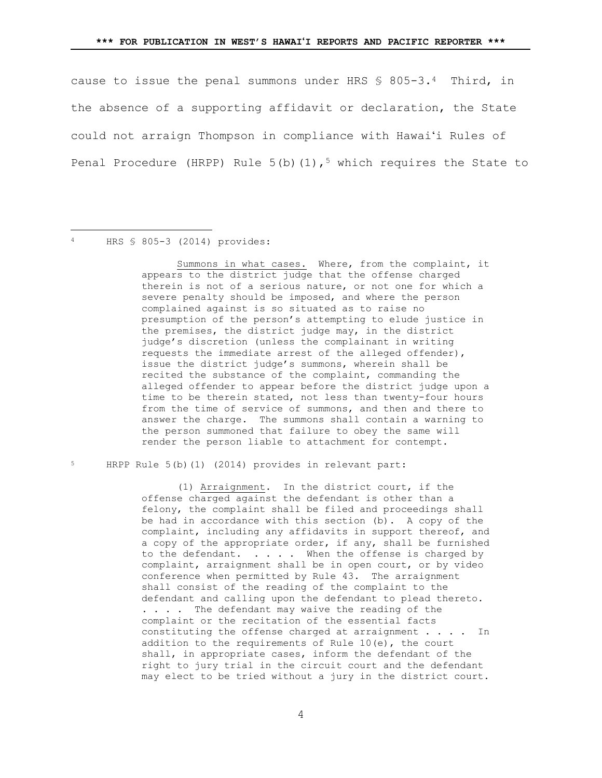cause to issue the penal summons under HRS § 805-3.4 Third, in the absence of a supporting affidavit or declaration, the State could not arraign Thompson in compliance with Hawaiʻi Rules of Penal Procedure (HRPP) Rule  $5(b)(1)$ ,<sup>5</sup> which requires the State to

#### HRS § 805-3 (2014) provides:

L,

Summons in what cases. Where, from the complaint, it appears to the district judge that the offense charged therein is not of a serious nature, or not one for which a severe penalty should be imposed, and where the person complained against is so situated as to raise no presumption of the person's attempting to elude justice in the premises, the district judge may, in the district judge's discretion (unless the complainant in writing requests the immediate arrest of the alleged offender), issue the district judge's summons, wherein shall be recited the substance of the complaint, commanding the alleged offender to appear before the district judge upon a time to be therein stated, not less than twenty-four hours from the time of service of summons, and then and there to answer the charge. The summons shall contain a warning to the person summoned that failure to obey the same will render the person liable to attachment for contempt.

<sup>5</sup> HRPP Rule 5(b)(1) (2014) provides in relevant part:

(1) Arraignment. In the district court, if the offense charged against the defendant is other than a felony, the complaint shall be filed and proceedings shall be had in accordance with this section (b). A copy of the complaint, including any affidavits in support thereof, and a copy of the appropriate order, if any, shall be furnished to the defendant.  $\dots$  . . When the offense is charged by complaint, arraignment shall be in open court, or by video conference when permitted by Rule 43. The arraignment shall consist of the reading of the complaint to the defendant and calling upon the defendant to plead thereto. . . . . The defendant may waive the reading of the complaint or the recitation of the essential facts constituting the offense charged at arraignment . . . . In addition to the requirements of Rule 10(e), the court shall, in appropriate cases, inform the defendant of the right to jury trial in the circuit court and the defendant may elect to be tried without a jury in the district court.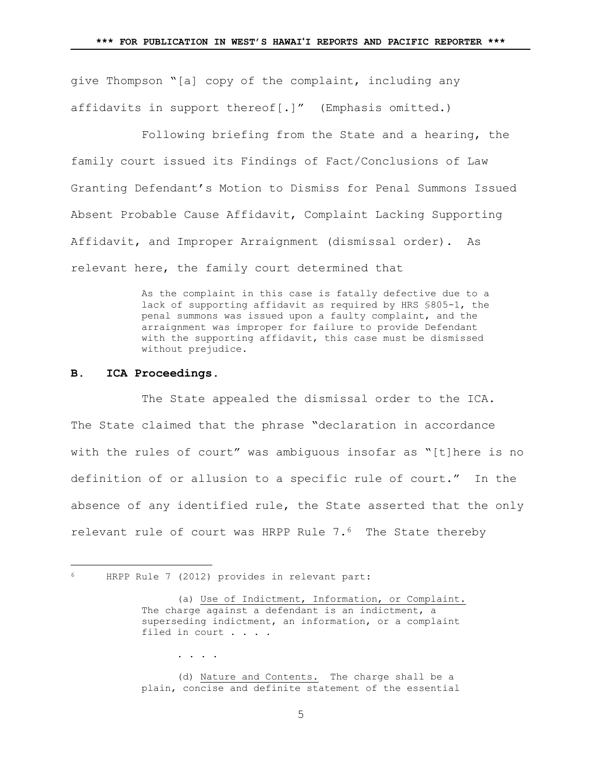give Thompson "[a] copy of the complaint, including any affidavits in support thereof[.]" (Emphasis omitted.)

Following briefing from the State and a hearing, the family court issued its Findings of Fact/Conclusions of Law Granting Defendant's Motion to Dismiss for Penal Summons Issued Absent Probable Cause Affidavit, Complaint Lacking Supporting Affidavit, and Improper Arraignment (dismissal order). As relevant here, the family court determined that

> As the complaint in this case is fatally defective due to a lack of supporting affidavit as required by HRS §805-1, the penal summons was issued upon a faulty complaint, and the arraignment was improper for failure to provide Defendant with the supporting affidavit, this case must be dismissed without prejudice.

## **B. ICA Proceedings.**

÷.

The State appealed the dismissal order to the ICA. The State claimed that the phrase "declaration in accordance with the rules of court" was ambiguous insofar as "[t]here is no definition of or allusion to a specific rule of court." In the absence of any identified rule, the State asserted that the only relevant rule of court was HRPP Rule 7.6 The State thereby

. . . .

(d) Nature and Contents. The charge shall be a plain, concise and definite statement of the essential

HRPP Rule 7 (2012) provides in relevant part:

<sup>(</sup>a) Use of Indictment, Information, or Complaint. The charge against a defendant is an indictment, a superseding indictment, an information, or a complaint filed in court . . . .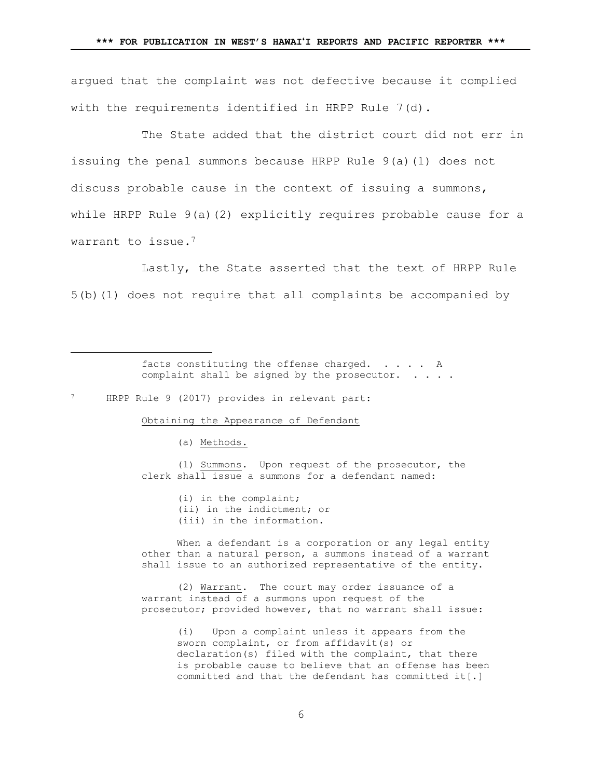argued that the complaint was not defective because it complied with the requirements identified in HRPP Rule 7(d).

The State added that the district court did not err in issuing the penal summons because HRPP Rule 9(a)(1) does not discuss probable cause in the context of issuing a summons, while HRPP Rule 9(a)(2) explicitly requires probable cause for a warrant to issue.<sup>7</sup>

Lastly, the State asserted that the text of HRPP Rule 5(b)(1) does not require that all complaints be accompanied by

> facts constituting the offense charged. . . . . A complaint shall be signed by the prosecutor. . . . .

### HRPP Rule 9 (2017) provides in relevant part:

÷.

Obtaining the Appearance of Defendant

(a) Methods.

(1) Summons. Upon request of the prosecutor, the clerk shall issue a summons for a defendant named:

> (i) in the complaint; (ii) in the indictment; or (iii) in the information.

When a defendant is a corporation or any legal entity other than a natural person, a summons instead of a warrant shall issue to an authorized representative of the entity.

(2) Warrant. The court may order issuance of a warrant instead of a summons upon request of the prosecutor; provided however, that no warrant shall issue:

> (i) Upon a complaint unless it appears from the sworn complaint, or from affidavit(s) or declaration(s) filed with the complaint, that there is probable cause to believe that an offense has been committed and that the defendant has committed it[.]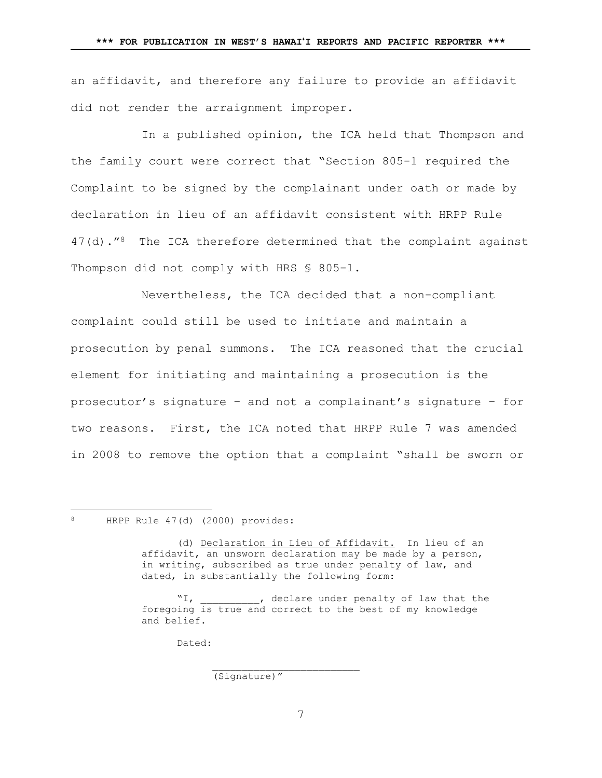an affidavit, and therefore any failure to provide an affidavit did not render the arraignment improper.

In a published opinion, the ICA held that Thompson and the family court were correct that "Section 805-1 required the Complaint to be signed by the complainant under oath or made by declaration in lieu of an affidavit consistent with HRPP Rule 47(d)."<sup>8</sup> The ICA therefore determined that the complaint against Thompson did not comply with HRS \$ 805-1.

Nevertheless, the ICA decided that a non-compliant complaint could still be used to initiate and maintain a prosecution by penal summons. The ICA reasoned that the crucial element for initiating and maintaining a prosecution is the prosecutor's signature – and not a complainant's signature – for two reasons. First, the ICA noted that HRPP Rule 7 was amended in 2008 to remove the option that a complaint "shall be sworn or

<sup>8</sup> HRPP Rule 47(d) (2000) provides:

÷.

(d) Declaration in Lieu of Affidavit. In lieu of an affidavit, an unsworn declaration may be made by a person, in writing, subscribed as true under penalty of law, and dated, in substantially the following form:

"I, \_\_\_\_\_\_\_\_, declare under penalty of law that the foregoing is true and correct to the best of my knowledge and belief.

Dated:

(Signature)"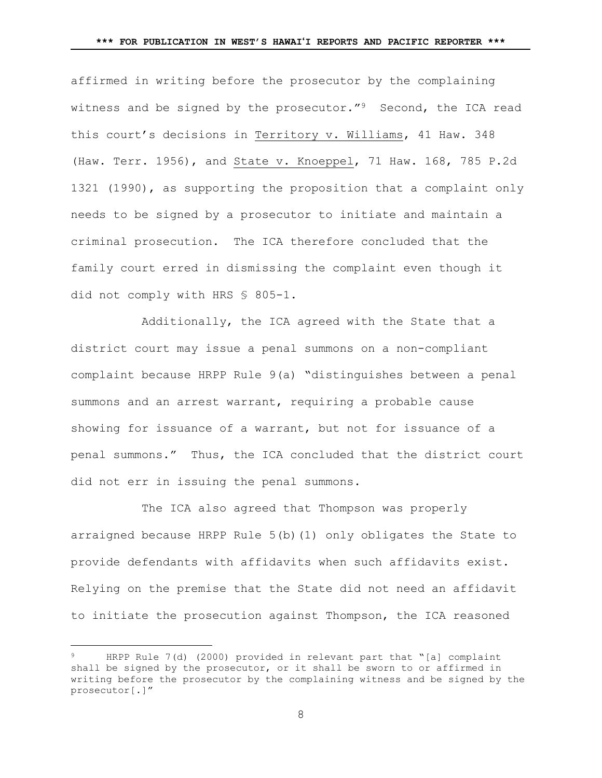affirmed in writing before the prosecutor by the complaining witness and be signed by the prosecutor."<sup>9</sup> Second, the ICA read this court's decisions in Territory v. Williams, 41 Haw. 348 (Haw. Terr. 1956), and State v. Knoeppel, 71 Haw. 168, 785 P.2d 1321 (1990), as supporting the proposition that a complaint only needs to be signed by a prosecutor to initiate and maintain a criminal prosecution. The ICA therefore concluded that the family court erred in dismissing the complaint even though it did not comply with HRS § 805-1.

Additionally, the ICA agreed with the State that a district court may issue a penal summons on a non-compliant complaint because HRPP Rule 9(a) "distinguishes between a penal summons and an arrest warrant, requiring a probable cause showing for issuance of a warrant, but not for issuance of a penal summons." Thus, the ICA concluded that the district court did not err in issuing the penal summons.

The ICA also agreed that Thompson was properly arraigned because HRPP Rule 5(b)(1) only obligates the State to provide defendants with affidavits when such affidavits exist. Relying on the premise that the State did not need an affidavit to initiate the prosecution against Thompson, the ICA reasoned

HRPP Rule 7(d) (2000) provided in relevant part that "[a] complaint shall be signed by the prosecutor, or it shall be sworn to or affirmed in writing before the prosecutor by the complaining witness and be signed by the prosecutor[.]"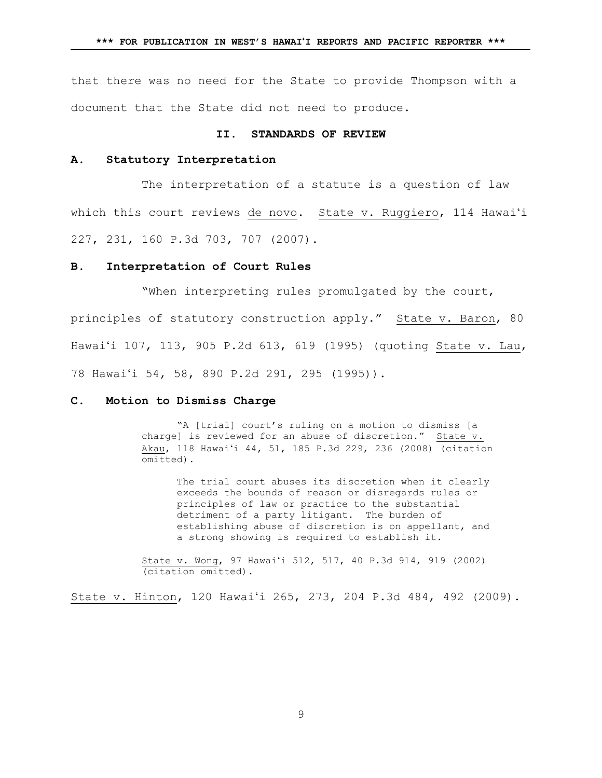that there was no need for the State to provide Thompson with a document that the State did not need to produce.

#### **II. STANDARDS OF REVIEW**

## **A. Statutory Interpretation**

The interpretation of a statute is a question of law which this court reviews de novo. State v. Ruggiero, 114 Hawai'i 227, 231, 160 P.3d 703, 707 (2007).

### **B. Interpretation of Court Rules**

"When interpreting rules promulgated by the court, principles of statutory construction apply." State v. Baron, 80 Hawaiʻi 107, 113, 905 P.2d 613, 619 (1995) (quoting State v. Lau, 78 Hawaiʻi 54, 58, 890 P.2d 291, 295 (1995)).

## **C. Motion to Dismiss Charge**

"A [trial] court's ruling on a motion to dismiss [a charge] is reviewed for an abuse of discretion." State  $v$ . Akau, 118 Hawaiʻi 44, 51, 185 P.3d 229, 236 (2008) (citation omitted).

The trial court abuses its discretion when it clearly exceeds the bounds of reason or disregards rules or principles of law or practice to the substantial detriment of a party litigant. The burden of establishing abuse of discretion is on appellant, and a strong showing is required to establish it.

State v. Wong, 97 Hawaiʻi 512, 517, 40 P.3d 914, 919 (2002) (citation omitted).

State v. Hinton, 120 Hawaiʻi 265, 273, 204 P.3d 484, 492 (2009).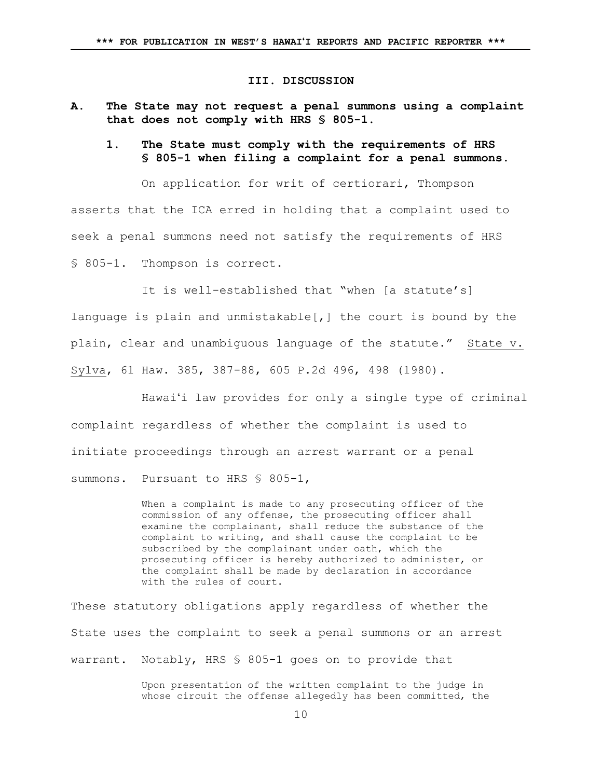## **III. DISCUSSION**

- <span id="page-9-0"></span>**A. The State may not request a penal summons using a complaint that does not comply with HRS § 805-1.**
	- **1. The State must comply with the requirements of HRS § 805-1 when filing a complaint for a penal summons.**

On application for writ of certiorari, Thompson

asserts that the ICA erred in holding that a complaint used to seek a penal summons need not satisfy the requirements of HRS § 805-1. Thompson is correct.

It is well-established that "when [a statute's] language is plain and unmistakable[,] the court is bound by the plain, clear and unambiguous language of the statute." State v. Sylva, 61 Haw. 385, 387-88, 605 P.2d 496, 498 (1980).

Hawaiʻi law provides for only a single type of criminal complaint regardless of whether the complaint is used to initiate proceedings through an arrest warrant or a penal summons. Pursuant to HRS § 805-1,

> When a complaint is made to any prosecuting officer of the commission of any offense, the prosecuting officer shall examine the complainant, shall reduce the substance of the complaint to writing, and shall cause the complaint to be subscribed by the complainant under oath, which the prosecuting officer is hereby authorized to administer, or the complaint shall be made by declaration in accordance with the rules of court.

These statutory obligations apply regardless of whether the State uses the complaint to seek a penal summons or an arrest warrant. Notably, HRS § 805-1 goes on to provide that

> Upon presentation of the written complaint to the judge in whose circuit the offense allegedly has been committed, the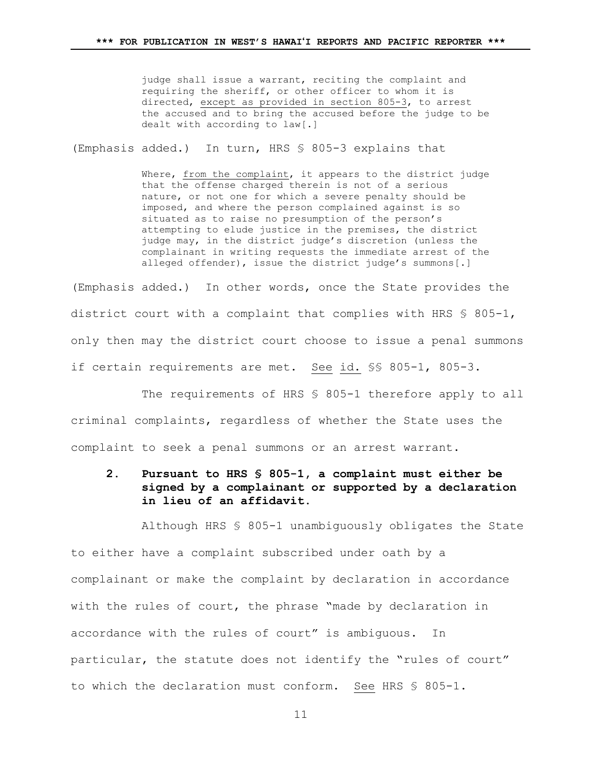judge shall issue a warrant, reciting the complaint and requiring the sheriff, or other officer to whom it is directed, except as provided in section 805-3, to arrest the accused and to bring the accused before the judge to be dealt with according to law[.]

(Emphasis added.) In turn, HRS § 805-3 explains that

Where, from the complaint, it appears to the district judge that the offense charged therein is not of a serious nature, or not one for which a severe penalty should be imposed, and where the person complained against is so situated as to raise no presumption of the person's attempting to elude justice in the premises, the district judge may, in the district judge's discretion (unless the complainant in writing requests the immediate arrest of the alleged offender), issue the district judge's summons[.]

(Emphasis added.) In other words, once the State provides the district court with a complaint that complies with HRS § 805-1, only then may the district court choose to issue a penal summons if certain requirements are met. See id. §§ 805-1, 805-3.

The requirements of HRS § 805-1 therefore apply to all criminal complaints, regardless of whether the State uses the complaint to seek a penal summons or an arrest warrant.

# **2. Pursuant to HRS § 805-1, a complaint must either be signed by a complainant or supported by a declaration in lieu of an affidavit.**

Although HRS § 805-1 unambiguously obligates the State to either have a complaint subscribed under oath by a complainant or make the complaint by declaration in accordance with the rules of court, the phrase "made by declaration in accordance with the rules of court" is ambiguous. In particular, the statute does not identify the "rules of court" to which the declaration must conform. See HRS § 805-1.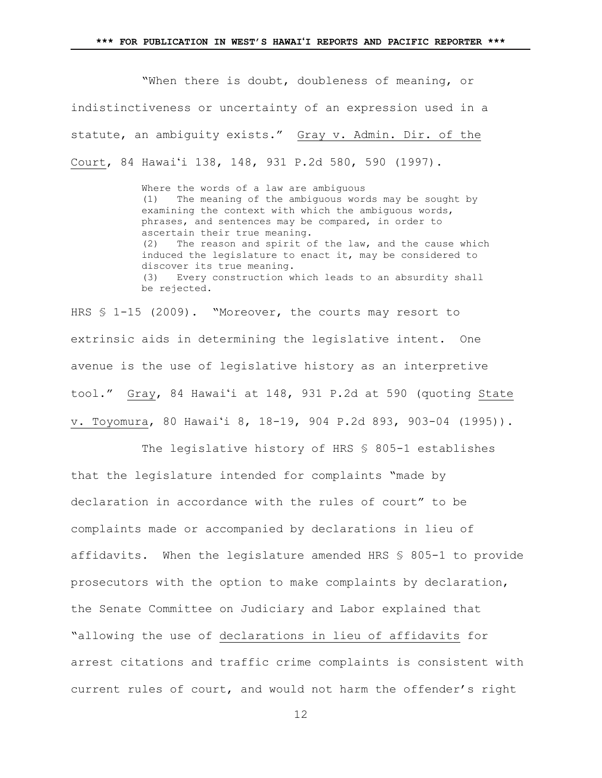"When there is doubt, doubleness of meaning, or indistinctiveness or uncertainty of an expression used in a statute, an ambiguity exists." Gray v. Admin. Dir. of the Court, 84 Hawaiʻi 138, 148, 931 P.2d 580, 590 (1997).

> Where the words of a law are ambiguous (1) The meaning of the ambiguous words may be sought by examining the context with which the ambiguous words, phrases, and sentences may be compared, in order to ascertain their true meaning. (2) The reason and spirit of the law, and the cause which induced the legislature to enact it, may be considered to discover its true meaning. (3) Every construction which leads to an absurdity shall be rejected.

HRS § 1-15 (2009). "Moreover, the courts may resort to extrinsic aids in determining the legislative intent. One avenue is the use of legislative history as an interpretive tool." Gray, 84 Hawaiʻi at 148, 931 P.2d at 590 (quoting State v. Toyomura, 80 Hawaiʻi 8, 18-19, 904 P.2d 893, 903-04 (1995)).

The legislative history of HRS § 805-1 establishes that the legislature intended for complaints "made by declaration in accordance with the rules of court" to be complaints made or accompanied by declarations in lieu of affidavits. When the legislature amended HRS § 805-1 to provide prosecutors with the option to make complaints by declaration, the Senate Committee on Judiciary and Labor explained that "allowing the use of declarations in lieu of affidavits for arrest citations and traffic crime complaints is consistent with current rules of court, and would not harm the offender's right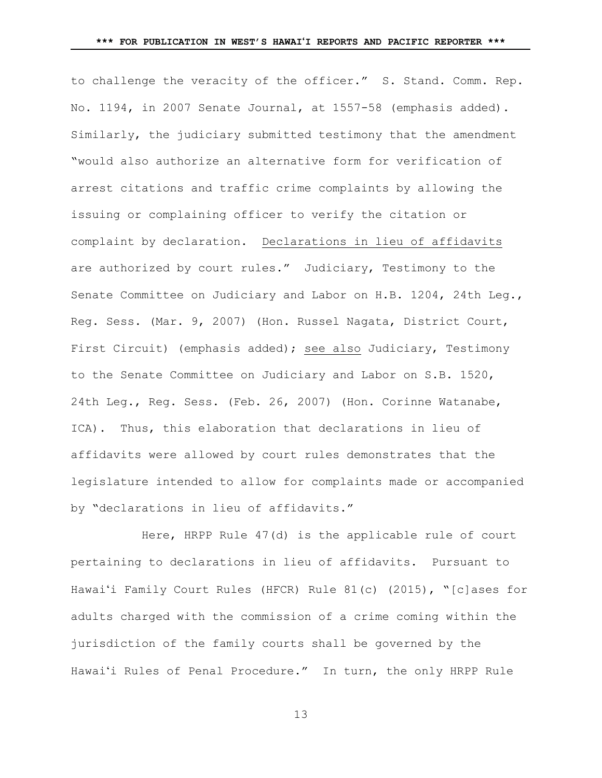to challenge the veracity of the officer." S. Stand. Comm. Rep. No. 1194, in 2007 Senate Journal, at 1557-58 (emphasis added). Similarly, the judiciary submitted testimony that the amendment "would also authorize an alternative form for verification of arrest citations and traffic crime complaints by allowing the issuing or complaining officer to verify the citation or complaint by declaration. Declarations in lieu of affidavits are authorized by court rules." Judiciary, Testimony to the Senate Committee on Judiciary and Labor on H.B. 1204, 24th Leg., Reg. Sess. (Mar. 9, 2007) (Hon. Russel Nagata, District Court, First Circuit) (emphasis added); see also Judiciary, Testimony to the Senate Committee on Judiciary and Labor on S.B. 1520, 24th Leg., Reg. Sess. (Feb. 26, 2007) (Hon. Corinne Watanabe, ICA). Thus, this elaboration that declarations in lieu of affidavits were allowed by court rules demonstrates that the legislature intended to allow for complaints made or accompanied by "declarations in lieu of affidavits."

Here, HRPP Rule 47(d) is the applicable rule of court pertaining to declarations in lieu of affidavits. Pursuant to Hawaiʻi Family Court Rules (HFCR) Rule 81(c) (2015), "[c]ases for adults charged with the commission of a crime coming within the jurisdiction of the family courts shall be governed by the Hawaiʻi Rules of Penal Procedure." In turn, the only HRPP Rule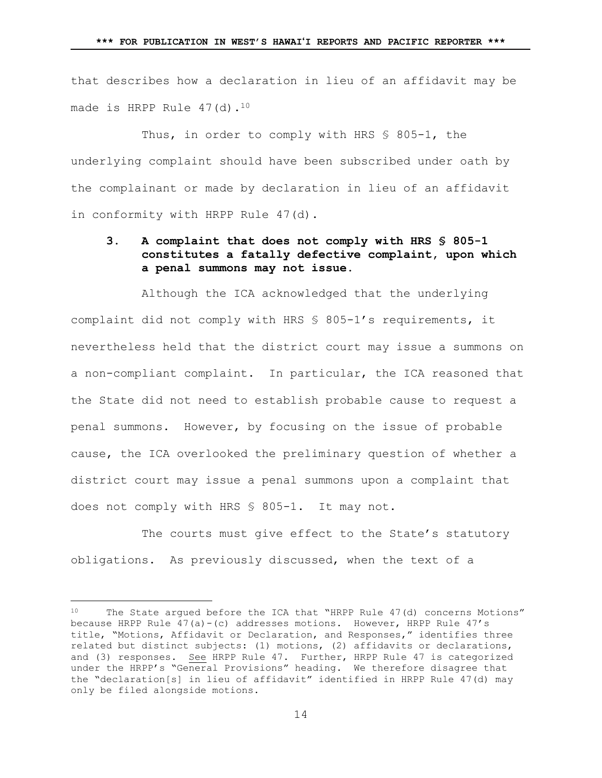that describes how a declaration in lieu of an affidavit may be made is HRPP Rule 47(d).<sup>10</sup>

Thus, in order to comply with HRS § 805-1, the underlying complaint should have been subscribed under oath by the complainant or made by declaration in lieu of an affidavit in conformity with HRPP Rule 47(d).

## <span id="page-13-0"></span>**3. A complaint that does not comply with HRS § 805-1 constitutes a fatally defective complaint, upon which a penal summons may not issue.**

Although the ICA acknowledged that the underlying complaint did not comply with HRS § 805-1's requirements, it nevertheless held that the district court may issue a summons on a non-compliant complaint. In particular, the ICA reasoned that the State did not need to establish probable cause to request a penal summons. However, by focusing on the issue of probable cause, the ICA overlooked the preliminary question of whether a district court may issue a penal summons upon a complaint that does not comply with HRS § 805-1. It may not.

The courts must give effect to the State's statutory obligations. As previously discussed, when the text of a

<sup>10</sup> The State argued before the ICA that "HRPP Rule 47(d) concerns Motions" because HRPP Rule  $47(a) - (c)$  addresses motions. However, HRPP Rule  $47's$ title, "Motions, Affidavit or Declaration, and Responses," identifies three related but distinct subjects: (1) motions, (2) affidavits or declarations, and (3) responses. See HRPP Rule 47. Further, HRPP Rule 47 is categorized under the HRPP's "General Provisions" heading. We therefore disagree that the "declaration[s] in lieu of affidavit" identified in HRPP Rule 47(d) may only be filed alongside motions.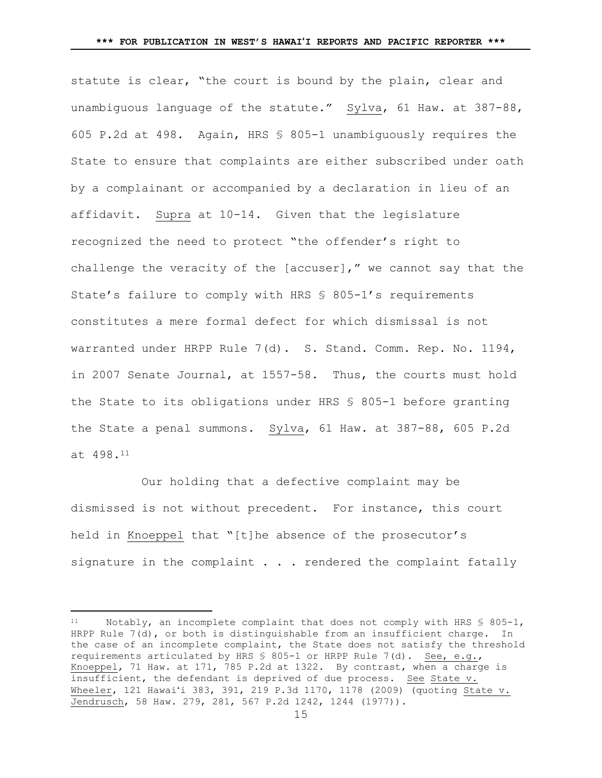statute is clear, "the court is bound by the plain, clear and unambiguous language of the statute." Sylva, 61 Haw. at 387-88, 605 P.2d at 498. Again, HRS § 805-1 unambiguously requires the State to ensure that complaints are either subscribed under oath by a complainant or accompanied by a declaration in lieu of an affidavit. Supra at [10-](#page-9-0)[14.](#page-13-0) Given that the legislature recognized the need to protect "the offender's right to challenge the veracity of the [accuser]," we cannot say that the State's failure to comply with HRS § 805-1's requirements constitutes a mere formal defect for which dismissal is not warranted under HRPP Rule 7(d). S. Stand. Comm. Rep. No. 1194, in 2007 Senate Journal, at 1557-58. Thus, the courts must hold the State to its obligations under HRS § 805-1 before granting the State a penal summons. Sylva, 61 Haw. at 387-88, 605 P.2d at 498.<sup>11</sup>

Our holding that a defective complaint may be dismissed is not without precedent. For instance, this court held in Knoeppel that "[t]he absence of the prosecutor's signature in the complaint  $\ldots$  rendered the complaint fatally

Notably, an incomplete complaint that does not comply with HRS  $$805-1$ , HRPP Rule 7(d), or both is distinguishable from an insufficient charge. In the case of an incomplete complaint, the State does not satisfy the threshold requirements articulated by HRS § 805-1 or HRPP Rule 7(d). See, e.g., Knoeppel, 71 Haw. at 171, 785 P.2d at 1322. By contrast, when a charge is insufficient, the defendant is deprived of due process. See State v. Wheeler, 121 Hawaiʻi 383, 391, 219 P.3d 1170, 1178 (2009) (quoting State v. Jendrusch, 58 Haw. 279, 281, 567 P.2d 1242, 1244 (1977)).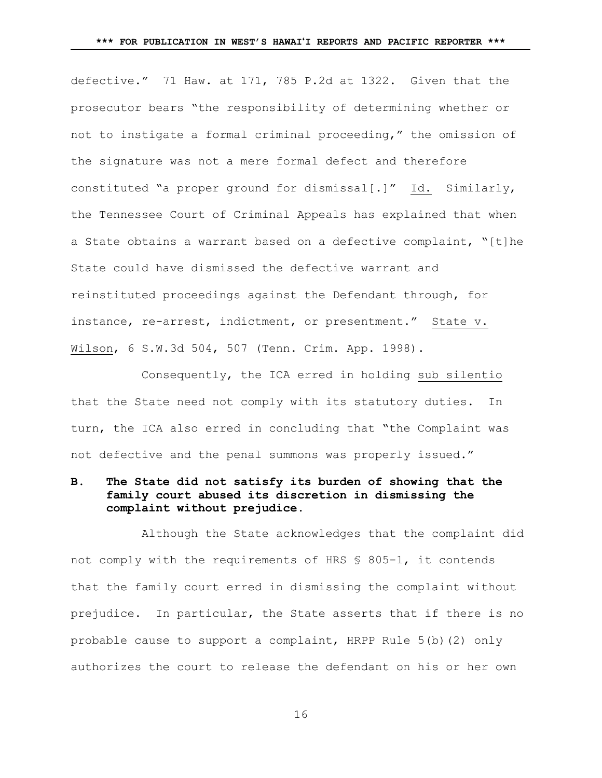defective." 71 Haw. at 171, 785 P.2d at 1322. Given that the prosecutor bears "the responsibility of determining whether or not to instigate a formal criminal proceeding," the omission of the signature was not a mere formal defect and therefore constituted "a proper ground for dismissal[.]" Id. Similarly, the Tennessee Court of Criminal Appeals has explained that when a State obtains a warrant based on a defective complaint, "[t]he State could have dismissed the defective warrant and reinstituted proceedings against the Defendant through, for instance, re-arrest, indictment, or presentment." State v. Wilson, 6 S.W.3d 504, 507 (Tenn. Crim. App. 1998).

Consequently, the ICA erred in holding sub silentio that the State need not comply with its statutory duties. In turn, the ICA also erred in concluding that "the Complaint was not defective and the penal summons was properly issued."

# **B. The State did not satisfy its burden of showing that the family court abused its discretion in dismissing the complaint without prejudice.**

Although the State acknowledges that the complaint did not comply with the requirements of HRS § 805-1, it contends that the family court erred in dismissing the complaint without prejudice. In particular, the State asserts that if there is no probable cause to support a complaint, HRPP Rule 5(b)(2) only authorizes the court to release the defendant on his or her own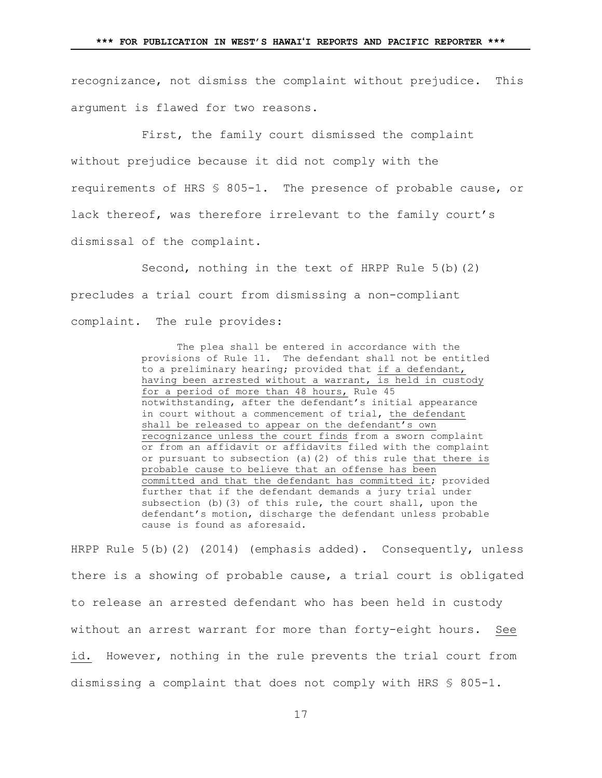recognizance, not dismiss the complaint without prejudice. This argument is flawed for two reasons.

First, the family court dismissed the complaint without prejudice because it did not comply with the requirements of HRS § 805-1. The presence of probable cause, or lack thereof, was therefore irrelevant to the family court's dismissal of the complaint.

Second, nothing in the text of HRPP Rule 5(b)(2) precludes a trial court from dismissing a non-compliant complaint. The rule provides:

> The plea shall be entered in accordance with the provisions of Rule 11. The defendant shall not be entitled to a preliminary hearing; provided that if a defendant, having been arrested without a warrant, is held in custody for a period of more than 48 hours, Rule 45 notwithstanding, after the defendant's initial appearance in court without a commencement of trial, the defendant shall be released to appear on the defendant's own recognizance unless the court finds from a sworn complaint or from an affidavit or affidavits filed with the complaint or pursuant to subsection (a)(2) of this rule that there is probable cause to believe that an offense has been committed and that the defendant has committed it; provided further that if the defendant demands a jury trial under subsection (b)(3) of this rule, the court shall, upon the defendant's motion, discharge the defendant unless probable cause is found as aforesaid.

HRPP Rule 5(b)(2) (2014) (emphasis added). Consequently, unless there is a showing of probable cause, a trial court is obligated to release an arrested defendant who has been held in custody without an arrest warrant for more than forty-eight hours. See id. However, nothing in the rule prevents the trial court from dismissing a complaint that does not comply with HRS § 805-1.